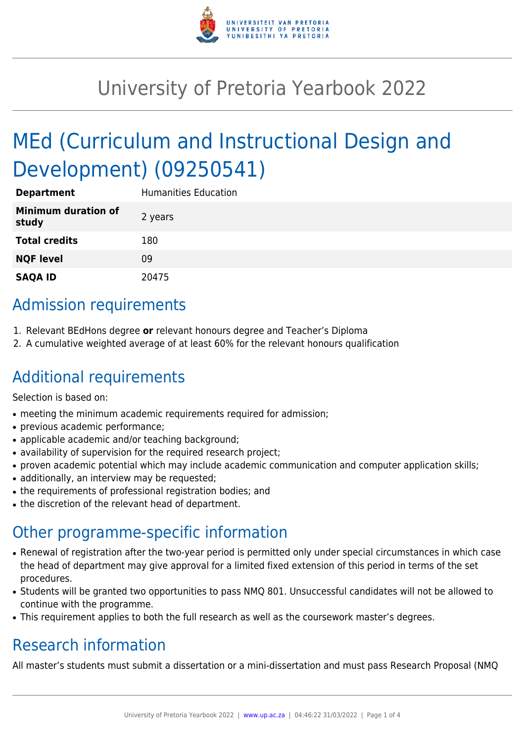

# University of Pretoria Yearbook 2022

# MEd (Curriculum and Instructional Design and Development) (09250541)

| <b>Department</b>                   | <b>Humanities Education</b> |
|-------------------------------------|-----------------------------|
| <b>Minimum duration of</b><br>study | 2 years                     |
| <b>Total credits</b>                | 180                         |
| <b>NQF level</b>                    | 09                          |
| <b>SAQA ID</b>                      | 20475                       |

## Admission requirements

- 1. Relevant BEdHons degree **or** relevant honours degree and Teacher's Diploma
- 2. A cumulative weighted average of at least 60% for the relevant honours qualification

### Additional requirements

Selection is based on:

- meeting the minimum academic requirements required for admission;
- previous academic performance;
- applicable academic and/or teaching background:
- availability of supervision for the required research project;
- proven academic potential which may include academic communication and computer application skills;
- additionally, an interview may be requested;
- the requirements of professional registration bodies; and
- the discretion of the relevant head of department.

### Other programme-specific information

- Renewal of registration after the two-year period is permitted only under special circumstances in which case the head of department may give approval for a limited fixed extension of this period in terms of the set procedures.
- Students will be granted two opportunities to pass NMQ 801. Unsuccessful candidates will not be allowed to continue with the programme.
- This requirement applies to both the full research as well as the coursework master's degrees.

# Research information

All master's students must submit a dissertation or a mini-dissertation and must pass Research Proposal (NMQ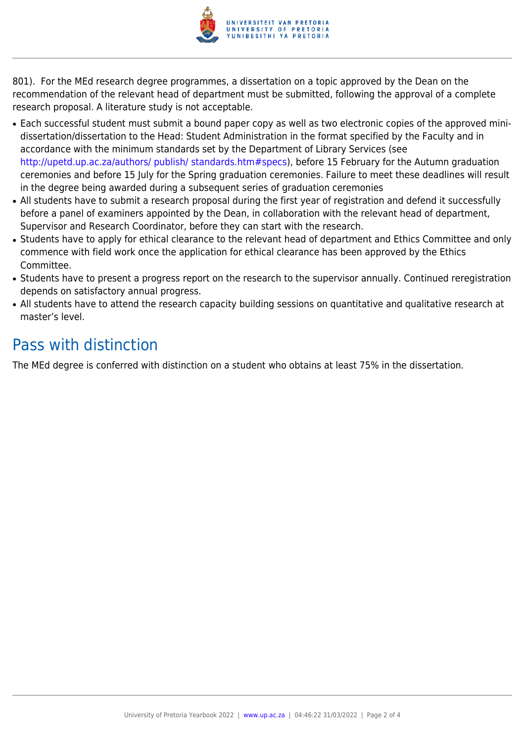

801). For the MEd research degree programmes, a dissertation on a topic approved by the Dean on the recommendation of the relevant head of department must be submitted, following the approval of a complete research proposal. A literature study is not acceptable.

- Each successful student must submit a bound paper copy as well as two electronic copies of the approved minidissertation/dissertation to the Head: Student Administration in the format specified by the Faculty and in accordance with the minimum standards set by the Department of Library Services (see <http://upetd.up.ac.za/authors/ publish/ standards.htm#specs>), before 15 February for the Autumn graduation ceremonies and before 15 July for the Spring graduation ceremonies. Failure to meet these deadlines will result in the degree being awarded during a subsequent series of graduation ceremonies
- All students have to submit a research proposal during the first year of registration and defend it successfully before a panel of examiners appointed by the Dean, in collaboration with the relevant head of department, Supervisor and Research Coordinator, before they can start with the research.
- Students have to apply for ethical clearance to the relevant head of department and Ethics Committee and only commence with field work once the application for ethical clearance has been approved by the Ethics Committee.
- Students have to present a progress report on the research to the supervisor annually. Continued reregistration depends on satisfactory annual progress.
- All students have to attend the research capacity building sessions on quantitative and qualitative research at master's level.

### Pass with distinction

The MEd degree is conferred with distinction on a student who obtains at least 75% in the dissertation.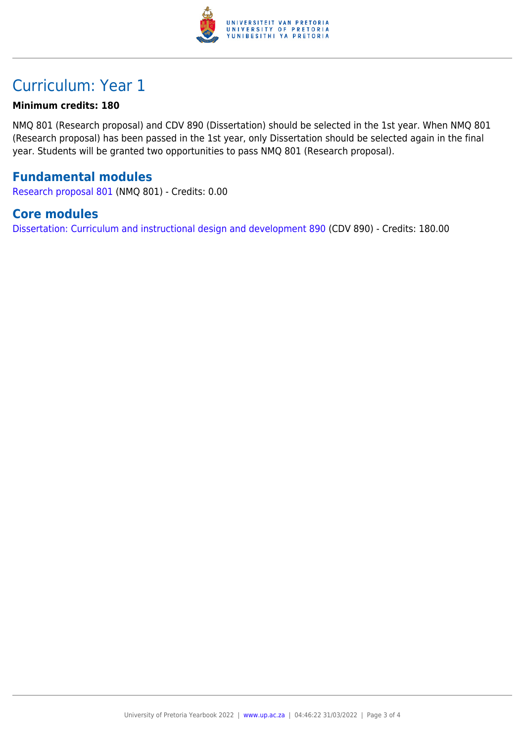

## Curriculum: Year 1

#### **Minimum credits: 180**

NMQ 801 (Research proposal) and CDV 890 (Dissertation) should be selected in the 1st year. When NMQ 801 (Research proposal) has been passed in the 1st year, only Dissertation should be selected again in the final year. Students will be granted two opportunities to pass NMQ 801 (Research proposal).

#### **Fundamental modules**

[Research proposal 801](https://www.up.ac.za/yearbooks/2022/modules/view/NMQ 801) (NMQ 801) - Credits: 0.00

#### **Core modules**

[Dissertation: Curriculum and instructional design and development 890](https://www.up.ac.za/yearbooks/2022/modules/view/CDV 890) (CDV 890) - Credits: 180.00